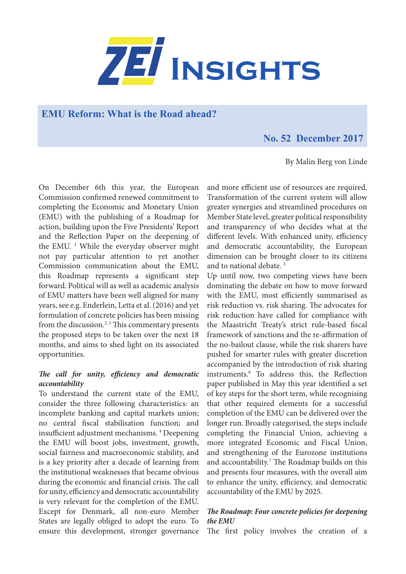

## **EMU Reform: What is the Road ahead?**

## **No. 52 December 2017**

By Malin Berg von Linde

On December 6th this year, the European Commission confirmed renewed commitment to completing the Economic and Monetary Union (EMU) with the publishing of a Roadmap for action, building upon the Five Presidents' Report and the Reflection Paper on the deepening of the EMU.<sup>1</sup> While the everyday observer might not pay particular attention to yet another Commission communication about the EMU, this Roadmap represents a significant step forward. Political will as well as academic analysis of EMU matters have been well aligned for many years, see e.g. Enderlein, Letta et al. (2016) and yet formulation of concrete policies has been missing from the discussion.<sup>2, 3</sup> This commentary presents the proposed steps to be taken over the next 18 months, and aims to shed light on its associated opportunities.

## *The call for unity, efficiency and democratic accountability*

To understand the current state of the EMU, consider the three following characteristics: an incomplete banking and capital markets union; no central fiscal stabilisation function; and insufficient adjustment mechanisms. 4 Deepening the EMU will boost jobs, investment, growth, social fairness and macroeconomic stability, and is a key priority after a decade of learning from the institutional weaknesses that became obvious during the economic and financial crisis. The call for unity, efficiency and democratic accountability is very relevant for the completion of the EMU. Except for Denmark, all non-euro Member States are legally obliged to adopt the euro. To ensure this development, stronger governance

and more efficient use of resources are required. Transformation of the current system will allow greater synergies and streamlined procedures on Member State level, greater political responsibility and transparency of who decides what at the different levels. With enhanced unity, efficiency and democratic accountability, the European dimension can be brought closer to its citizens and to national debate. 5

Up until now, two competing views have been dominating the debate on how to move forward with the EMU, most efficiently summarised as risk reduction vs. risk sharing. The advocates for risk reduction have called for compliance with the Maastricht Treaty's strict rule-based fiscal framework of sanctions and the re-affirmation of the no-bailout clause, while the risk sharers have pushed for smarter rules with greater discretion accompanied by the introduction of risk sharing instruments.6 To address this, the Reflection paper published in May this year identified a set of key steps for the short term, while recognising that other required elements for a successful completion of the EMU can be delivered over the longer run. Broadly categorised, the steps include completing the Financial Union, achieving a more integrated Economic and Fiscal Union, and strengthening of the Eurozone institutions and accountability.<sup>7</sup> The Roadmap builds on this and presents four measures, with the overall aim to enhance the unity, efficiency, and democratic accountability of the EMU by 2025.

## *The Roadmap: Four concrete policies for deepening the EMU*

The first policy involves the creation of a